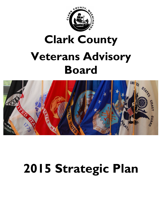

# **Clark County Veterans Advisory Board**



# **2015 Strategic Plan**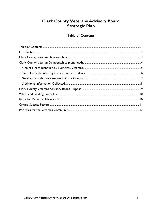#### **Clark County Veterans Advisory Board** Strategic Plan

**Table of Contents** 

<span id="page-1-0"></span>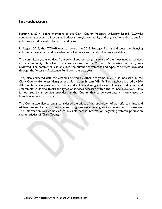#### <span id="page-2-0"></span>**Introduction**

Starting in 2014, board members of the Clark County Veterans Advisory Board (CCVAB) conducted a process to identify and adopt strategic community and organizational directions for veteran-related priorities for 2015 and beyond.

In August 2015, the CCVAB met to review the 2012 Strategic Plan and discuss the changing veteran demographics and prioritization of services with limited funding availability.

The committee gathered data from several sources to get a sense of the most needed services in the community. Data from the census as well as the Veterans Administration survey was reviewed. The committee also analyzed the number of veterans and types of services provided through the Veterans Assistance Fund over the past year.

They also collected data for veterans served by other programs in 2014 as indicated by the Clark County Homeless Management Information System (HMIS). This database is used by 30+ different homeless program providers and collects demographics on clients including age and veteran status. It also tracks the types of services accessed within the county. However, HMIS is not used by all service providers in the County that serve veterans. It is only used by homeless service providers.

The Committee also carefully considered the effect of the drawdown of war efforts in Iraq and Afghanistan and looked at how current programs were serving various generations of veterans. This information was compared to available census information regarding veteran population characteristics of Clark County.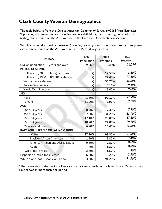## <span id="page-3-0"></span>**Clark County Veteran Demographics**

The table below is from the Census American Community Survey (ACS) 3-Year Estimates. Supporting documentation on code lists, subject definitions, data accuracy, and statistical testing can be found on the ACS website in the Data and Documentation section.

Sample size and data quality measures (including coverage rates, allocation rates, and response rates) can be found on the ACS website in the Methodology section.

|                                       | Total      | 2013            | 2010     |
|---------------------------------------|------------|-----------------|----------|
| Category                              | Population | <b>Veterans</b> | Veterans |
| Civilian population 18 years and over | 324,377    | 36,826          | 36,370   |
| <b>PERIOD OF SERVICE</b>              |            |                 |          |
| Gulf War (9/2001 or later) veterans   | (X)        | 12.50%          | 8.20%    |
| Gulf War (8/1990 to 8/2001) veterans  | (X)        | 22.40%          | 17.20%   |
| Vietnam era veterans                  | (X)        | 36.20%          | 36.80%   |
| Korean War veterans                   | (X)        | 8.10%           | 9.40%    |
| World War II veterans                 | (X)        | 5.40%           | 9.80%    |
| <b>SEX</b>                            |            |                 |          |
| Male                                  | 48.80%     | 92.10%          | 92.90%   |
| Female                                | 51.20%     | 7.90%           | 7.10%    |
| <b>AGE</b>                            |            |                 |          |
| 18 to 34 years                        | 28.40%     | 7.30%           | 7.40%    |
| 35 to 54 years                        | 37.50%     | 31.20%          | 28.10%   |
| 55 to 64 years                        | 17.10%     | 23.00%          | 27.80%   |
| 65 to 74 years                        | 10.20%     | 22.00%          | 19.90%   |
| 75 years and over                     | 6.70%      | 16.40%          | 16.80%   |
| RACE AND HISPANIC OR LATINO ORIGIN    |            |                 |          |
| White                                 | 87.10%     | 93.30%          | 94.00%   |
| <b>Black or African American</b>      | 1.90%      | 2.30%           | 2.40%    |
| American Indian and Alaska Native     | 0.80%      | 0.80%           | 0.60%    |
| Asian                                 | 4.40%      | 1.30%           | 0.80%    |
| Two or more races                     | 2.60%      | 1.50%           | 1.40%    |
| Hispanic or Latino (of any race)      | 6.30%      | 3.20%           | 3.30%    |
| White alone, not Hispanic or Latino   | 83.90%     | 91.20%          | 91.30%   |

\*The categories under period of service are not necessarily mutually exclusive. Veterans may have served in more than one period.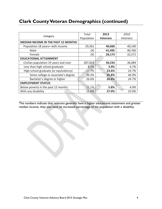# <span id="page-4-0"></span>**Clark County Veteran Demographics (continued)**

|                                            | Total      | 2013            | 2010     |
|--------------------------------------------|------------|-----------------|----------|
| Category                                   | Population | <b>Veterans</b> | Veterans |
| <b>MEDIAN INCOME IN THE PAST 12 MONTHS</b> |            |                 |          |
| Population 18 years+ with income           | 29,361     | 40,660          | 40,140   |
| Male                                       | (X)        | 41,495          | 40,760   |
| Female                                     | (X)        | 28,173          | 32,571   |
| <b>EDUCATIONAL ATTAINMENT</b>              |            |                 |          |
| Civilian population 25 years and over      | 287,833    | 36,533          | 36,084   |
| Less than high school graduate             | 8.5%       | 3.9%            | 4.7%     |
| High school graduate (or equivalency)      | 25.7%      | 23.6%           | 23.7%    |
| Some college or associate's degree         | 39.2%      | 45.8%           | 46.9%    |
| Bachelor's degree or higher                | 26.6%      | 26.6%           | 24.7%    |
| <b>EMPLOYMENT STATUS</b>                   |            |                 |          |
| Below poverty in the past 12 months        | 11.1%      | 5.8%            | 4.9%     |
| With any disability                        | 15.6%      | 27.0%           | 23.9%    |

The numbers indicate that veterans generally have a higher educational attainment and greater median income, they also have an increased percentage of the population with a disability.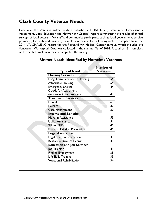## **Clark County Veteran Needs**

Each year the Veterans Administration publishes a CHALENG (Community Homelessness Assessment, Local Education and Networking Groups) report summarizing the results of annual surveys of local veterans, VA staff and community participants such as local government, service providers, formerly and currently homeless veterans. The following table is compiled from the 2014 VA CHALENG report for the Portland VA Medical Center campus, which includes the Vancouver VA hospital. Data was collected in the summer/fall of 2014. A total of 161 homeless or formerly homeless veterans completed the survey.

|                                      | <b>Number of</b> |
|--------------------------------------|------------------|
| <b>Type of Need</b>                  | Veterans         |
| <b>Housing Services</b>              |                  |
| Long-Term Permanent Housing          | 56               |
| <b>Affordable Housing</b>            | 55               |
| <b>Emergency Shelter</b>             | 44               |
| <b>Goods for Apartment</b>           |                  |
| (furniture & housewares)             | 41               |
| <b>Treatment Services</b>            |                  |
| Dental                               | 63               |
| <b>Eyecare</b>                       | $\overline{30}$  |
| <b>Case Management</b>               | 30               |
| <b>Income and Benefits</b>           |                  |
| Move-in Assistance                   | 55               |
| <b>Utility Assistance</b>            | 51               |
| SSI and SSDI                         | $\overline{45}$  |
| <b>Financial Eviction Prevention</b> | 45               |
| <b>Legal Assistance</b>              |                  |
| Legal Eviction Prevention            | 40               |
| Restore a Driver's License           | 39               |
| <b>Education and Job Services</b>    |                  |
| Job Training                         | 41               |
| <b>Finding Employment</b>            | 39               |
| Life Skills Training                 | 35               |
| <b>Vocational Rehabilitation</b>     | 34               |

#### <span id="page-5-0"></span>**Unmet Needs Identified by Homeless Veterans**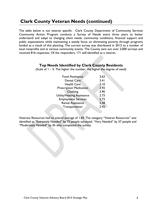## **Clark County Veteran Needs (continued)**

The table below is not veteran specific. Clark County Department of Community Services Community Action Program conducts a Survey of Needs every three years to better understand and adapt to changing client needs, community conditions, financial support and public expectations while maintaining a steady focus on eliminating poverty through programs funded as a result of this planning. The current survey was distributed in 2013 to a number of local nonprofits and at various community events. The County sent out over 2,000 surveys and received 816 responses. Of the responders, 171 self-identified as a veteran.

#### **Top Needs Identified by Clark County Residents**

<span id="page-6-0"></span>(Scale of  $1 - 5$ : The higher the number, the higher the degree of need)

| <b>Food Assistance</b>         | 3.63 |
|--------------------------------|------|
| <b>Dental Care</b>             | 3.41 |
| <b>Health Care</b>             | 3.10 |
| <b>Prescription Medication</b> | 2.92 |
| Clothing                       | 2.90 |
| Utility/Heating Assistance     | 2.73 |
| <b>Employment Services</b>     | 2.72 |
| <b>Rental Assistance</b>       | 2.58 |
| Transportation                 | 2.42 |
|                                |      |

Veterans Resources had an overall average of 1.69. The category "Veteran Resources" was identified as "Extremely Needed" by 73 people surveyed, "Very Needed" by 37 people and "Moderately Needed" by 45 who completed the survey.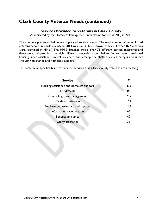## <span id="page-7-0"></span>**Clark County Veteran Needs (continued)**

#### **Services Provided to Veterans in Clark County**

As indicated by the Homeless Management Information System (HMIS) in 2014

The numbers presented below are duplicated service counts. The total number of unduplicated veterans served in Clark County in 2014 was 550. (This is down from 2011 when 827 veterans were identified in HMIS.) The HMIS database tracks over 75 different service categories and these were collapsed into the eight different categories shown below. For example, transitional housing, rent assistance, motel vouchers and emergency shelter are all categorized under "Housing assistance and homeless support."

This table most specifically represents the services that Clark County veterans are accessing.

| <b>Service</b>                          | #   |
|-----------------------------------------|-----|
| Housing assistance and homeless support | 435 |
| Food/Meals                              | 368 |
| Counseling/Case management              | 249 |
| Clothing assistance                     | 152 |
| Employment assistance and support       | 118 |
| Information or education                | 62  |
| Benefits assistance                     | 40  |
| Utility assistance                      | 36  |
|                                         |     |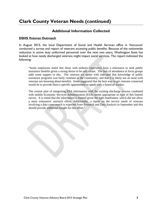## **Clark County Veteran Needs (continued)**

#### **Additional Information Collected**

#### <span id="page-8-0"></span>**DSHS Veteran Outreach**

In August 2015, the local Department of Social and Health Services office in Vancouver conducted a survey and report of veterans accessing public benefits. Because of the nationwide reduction in active duty uniformed personnel over the next two years, Washington State has looked at how newly discharged veterans might impact social services. The report indicated the following:

"Some employees noted that those with military experience have a reluctance to seek public assistance benefits given a strong desire to be self-reliant. The lack of attendance at focus groups adds some support to this. The veterans we spoke with indicated that knowledge of public assistance programs was fairly common in the community, and that it is likely not an issue with veterans not knowing about benefits. Some suggested that the best way to get veterans connected would be to provide them a specific appointment to speak with a financial worker.

The current plan of integrating ESA information with the existing discharge process combined with mobile Economic Services Administration (ESA) seems appropriate in light of this limited survey. It is noted that the information is limited given the tight timeframes, which did not allow a more exhaustive outreach effort. Additionally, a report on the service needs of veterans involving a data cross-match is expected from Research and Data Analysis in September and this should provide additional insight for this effort."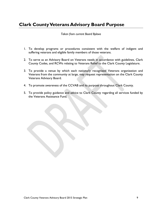## <span id="page-9-0"></span>**Clark County Veterans Advisory Board Purpose**

#### *Taken from current Board Bylaws*

- 1. To develop programs or procedures consistent with the welfare of indigent and suffering veterans and eligible family members of those veterans.
- 2. To serve as an Advisory Board on Veterans needs in accordance with guidelines, Clark County Codes, and RCWs relating to Veterans Relief to the Clark County Legislature.
- 3. To provide a venue by which each nationally recognized Veterans organization and Veterans from the community at large, may request representation on the Clark County Veterans Advisory Board.
- 4. To promote awareness of the CCVAB and its purpose throughout Clark County.
- 5. To provide policy guidance and advice to Clark County regarding all services funded by the Veterans Assistance Fund.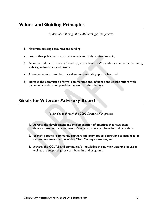## <span id="page-10-0"></span>**Values and Guiding Principles**

*As developed through the 2009 Strategic Plan process*

- 1. Maximize existing resources and funding;
- 2. Ensure that public funds are spent wisely and with positive impacts;
- 3. Promote actions that are a "hand up, not a hand out" to advance veterans recovery, stability, self-reliance and dignity;
- 4. Advance demonstrated best practices and promising approaches; and
- 5. Increase the committee's formal communications, influence and collaborations with community leaders and providers as well as other funders.

#### <span id="page-10-1"></span>**Goals for Veterans Advisory Board**

*As developed through the 2009 Strategic Plan process*

- 1. *Advance* the development and implementation of practices that have been demonstrated to increase veteran's access to services, benefits and providers;
- 2. *Identify* potential community partners and promote collaborations to maximize or secure new resources benefiting Clark County's veterans; and
- 3. *Increase* the CCVAB and community's knowledge of returning veteran's issues as well as the supporting services, benefits and programs.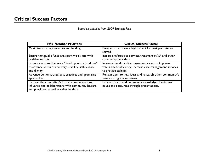*Based on priorities from 2009 Strategic Plan*

<span id="page-11-0"></span>

| <b>VAB Member Priorities</b>                                                                                                                      | <b>Critical Success Factor</b>                                                                    |
|---------------------------------------------------------------------------------------------------------------------------------------------------|---------------------------------------------------------------------------------------------------|
| Maximize existing resources and funding.                                                                                                          | Programs that show a high benefit for cost per veteran<br>served.                                 |
| Ensure that public funds are spent wisely and with                                                                                                | Increase referrals to services/treatment at VA and other                                          |
| positive impacts.                                                                                                                                 | community providers.                                                                              |
| Promote actions that are a "hand up, not a hand out"                                                                                              | Increase benefit and/or treatment access to improve                                               |
| to advance veterans recovery, stability, self-reliance                                                                                            | veteran self-sufficiency. Increase case management services                                       |
| and dignity.                                                                                                                                      | to provide stability.                                                                             |
| Advance demonstrated best practices and promising                                                                                                 | Remain open to new ideas and research other community's                                           |
| approaches.                                                                                                                                       | veteran program successes.                                                                        |
| Increase the committee's formal communications,<br>influence and collaborations with community leaders<br>and providers as well as other funders. | Enhance board and community knowledge of veterans'<br>issues and resources through presentations. |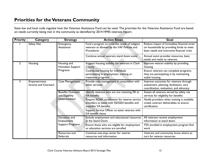State law and local code regulate how the Veterans Assistance Fund can be used. The priorities for the Veterans Assistance Fund are based on needs currently being met in the community as identified by 2014 HMIS veterans report.

<span id="page-12-0"></span>

| <b>Priority</b> | <b>Category</b>                     | <b>Strategy</b>                                        | <b>Action Steps</b>                                                                                                      | Goal                                                                                                                                 |
|-----------------|-------------------------------------|--------------------------------------------------------|--------------------------------------------------------------------------------------------------------------------------|--------------------------------------------------------------------------------------------------------------------------------------|
|                 | Safety Net                          | Emergency<br>Assistance                                | Fund a program to meet the needs of indigent<br>veterans as allowed by the VAF Policies and<br><b>Procedures</b>         | Reduce impact of immediate financial strain<br>on households by providing funds to meet<br>basic needs and overcome financial crisis |
|                 |                                     |                                                        | Continue annual veterans stand down event                                                                                | Annual event provides resources, basic<br>needs and meals to veterans                                                                |
| $\mathbf{2}$    | Housing                             | Housing and<br>Homeless Support                        | Support housing stability for veterans in Clark<br>County                                                                | Improve veteran stability by providing<br>housing                                                                                    |
|                 |                                     | Programs                                               | Coordinate housing for individuals<br>participating in employment, training or<br>treatment programs                     | Ensure veterans can complete programs<br>they are participating in by maintaining<br>stable housing                                  |
| 3.              | Empowerment,<br>Income and Outreach | <b>Case Management</b>                                 | Provide case management in conjunction with<br>other services                                                            | Improve outcomes for veterans through<br>assessment, planning, facilitation, care<br>coordination, evaluation, and advocacy          |
|                 |                                     | <b>Benefits Outreach</b><br>and Eligibility            | Identify veterans who are not receiving SSI or<br><b>VA</b> benefits                                                     | Assess all veterans served by safety net<br>services for eligibility for benefits                                                    |
|                 |                                     | Determination                                          | Require SOAR certification for veteran service<br>providers to assist with SSI/SSDI benefits and<br>expedite VA benefits | Notify providers when training is available,<br>create contract deliverables to ensure<br>certification                              |
|                 |                                     |                                                        | Support Service Officer to assist veterans with<br>VA benefit claims                                                     |                                                                                                                                      |
|                 |                                     | <b>Education and</b><br>Employment<br>Support Programs | Include employment and educational resources<br>at the Stand Down                                                        | All veterans receive employment<br>information at stand down                                                                         |
|                 |                                     |                                                        | Ensure those who are eligible for employment<br>or education services are enrolled                                       | 75% enrolled in employment program find<br>work                                                                                      |
|                 |                                     | Resources and<br><b>Referrals</b>                      | Continue one-stop center for veteran<br>resources and information                                                        | Veterans and community know where to<br>turn for veteran resources                                                                   |